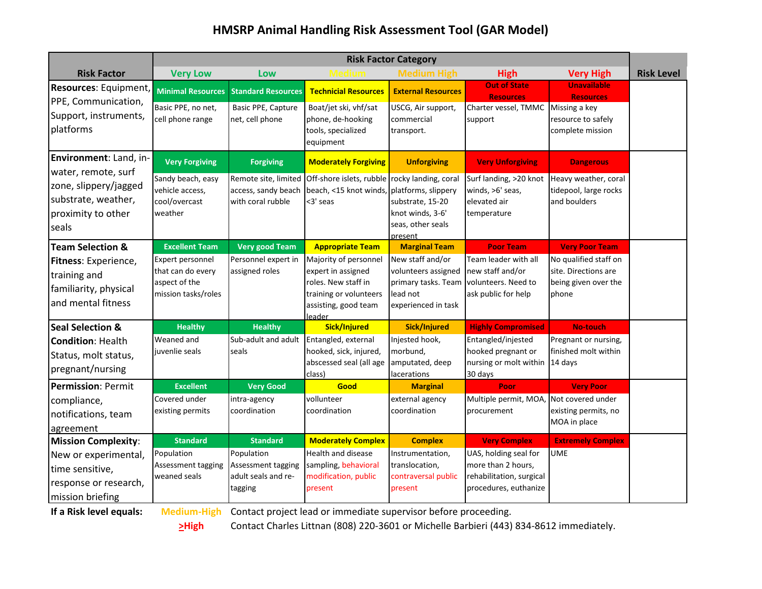## **HMSRP Animal Handling Risk Assessment Tool (GAR Model)**

|                                                                                                    | <b>Risk Factor Category</b>                                                   |                                                                    |                                                                                                                                |                                                                                                   |                                                                                                  |                                                                                |                   |
|----------------------------------------------------------------------------------------------------|-------------------------------------------------------------------------------|--------------------------------------------------------------------|--------------------------------------------------------------------------------------------------------------------------------|---------------------------------------------------------------------------------------------------|--------------------------------------------------------------------------------------------------|--------------------------------------------------------------------------------|-------------------|
| <b>Risk Factor</b>                                                                                 | <b>Very Low</b>                                                               | Low                                                                |                                                                                                                                | <b>Medium High</b>                                                                                | <b>High</b>                                                                                      | <b>Very High</b>                                                               | <b>Risk Level</b> |
| Resources: Equipment,<br>PPE, Communication,                                                       | <b>Minimal Resources</b>                                                      | <b>Standard Resources</b>                                          | <b>Technicial Resources</b>                                                                                                    | <b>External Resources</b>                                                                         | <b>Out of State</b><br><b>Resources</b>                                                          | <b>Unavailable</b><br><b>Resources</b>                                         |                   |
| Support, instruments,<br>platforms                                                                 | Basic PPE, no net,<br>cell phone range                                        | Basic PPE, Capture<br>net, cell phone                              | Boat/jet ski, vhf/sat<br>phone, de-hooking<br>tools, specialized<br>equipment                                                  | USCG, Air support,<br>commercial<br>transport.                                                    | Charter vessel, TMMC<br>support                                                                  | Missing a key<br>resource to safely<br>complete mission                        |                   |
| Environment: Land, in-                                                                             | <b>Very Forgiving</b>                                                         | <b>Forgiving</b>                                                   | <b>Moderately Forgiving</b>                                                                                                    | <b>Unforgiving</b>                                                                                | <b>Very Unforgiving</b>                                                                          | <b>Dangerous</b>                                                               |                   |
| water, remote, surf<br>zone, slippery/jagged<br>substrate, weather,<br>proximity to other<br>seals | Sandy beach, easy<br>vehicle access,<br>cool/overcast<br>weather              | Remote site, limited<br>access, sandy beach<br>with coral rubble   | Off-shore islets, rubble rocky landing, coral<br>beach, <15 knot winds, platforms, slippery<br><3' seas                        | substrate, 15-20<br>knot winds, 3-6'<br>seas, other seals<br>present                              | Surf landing, >20 knot<br>winds, >6' seas,<br>elevated air<br>temperature                        | Heavy weather, coral<br>tidepool, large rocks<br>and boulders                  |                   |
| <b>Team Selection &amp;</b>                                                                        | <b>Excellent Team</b>                                                         | <b>Very good Team</b>                                              | <b>Appropriate Team</b>                                                                                                        | <b>Marginal Team</b>                                                                              | <b>Poor Team</b>                                                                                 | <b>Very Poor Team</b>                                                          |                   |
| Fitness: Experience,<br>training and<br>familiarity, physical<br>and mental fitness                | Expert personnel<br>that can do every<br>aspect of the<br>mission tasks/roles | Personnel expert in<br>assigned roles                              | Majority of personnel<br>expert in assigned<br>roles. New staff in<br>training or volunteers<br>assisting, good team<br>leader | New staff and/or<br>volunteers assigned<br>primary tasks. Team<br>lead not<br>experienced in task | Team leader with all<br>new staff and/or<br>volunteers. Need to<br>ask public for help           | No qualified staff on<br>site. Directions are<br>being given over the<br>phone |                   |
| <b>Seal Selection &amp;</b>                                                                        | <b>Healthy</b>                                                                | <b>Healthy</b>                                                     | Sick/Injured                                                                                                                   | Sick/Injured                                                                                      | <b>Highly Compromised</b>                                                                        | <b>No-touch</b>                                                                |                   |
| <b>Condition: Health</b><br>Status, molt status,<br>pregnant/nursing                               | Weaned and<br>juvenlie seals                                                  | Sub-adult and adult<br>seals                                       | Entangled, external<br>hooked, sick, injured,<br>abscessed seal (all age<br>class)                                             | Injested hook,<br>morbund,<br>amputated, deep<br>lacerations                                      | Entangled/injested<br>hooked pregnant or<br>nursing or molt within<br>30 days                    | Pregnant or nursing,<br>finished molt within<br>14 days                        |                   |
| <b>Permission: Permit</b>                                                                          | <b>Excellent</b>                                                              | <b>Very Good</b>                                                   | Good                                                                                                                           | <b>Marginal</b>                                                                                   | Poor                                                                                             | <b>Very Poor</b>                                                               |                   |
| compliance,<br>notifications, team<br>agreement                                                    | Covered under<br>existing permits                                             | intra-agency<br>coordination                                       | vollunteer<br>coordination                                                                                                     | external agency<br>coordination                                                                   | Multiple permit, MOA<br>procurement                                                              | Not covered under<br>existing permits, no<br>MOA in place                      |                   |
| <b>Mission Complexity:</b>                                                                         | <b>Standard</b>                                                               | <b>Standard</b>                                                    | <b>Moderately Complex</b>                                                                                                      | <b>Complex</b>                                                                                    | <b>Very Complex</b>                                                                              | <b>Extremely Complex</b>                                                       |                   |
| New or experimental,<br>time sensitive,<br>response or research,<br>mission briefing               | Population<br>Assessment tagging<br>weaned seals                              | Population<br>Assessment tagging<br>adult seals and re-<br>tagging | Health and disease<br>sampling, behavioral<br>modification, public<br>present                                                  | Instrumentation,<br>translocation,<br>contraversal public<br>present                              | UAS, holding seal for<br>more than 2 hours,<br>rehabilitation, surgical<br>procedures, euthanize | <b>UME</b>                                                                     |                   |

**If a Risk level equals: Medium-High** Contact project lead or immediate supervisor before proceeding.

**>High** Contact Charles Littnan (808) 220-3601 or Michelle Barbieri (443) 834-8612 immediately.